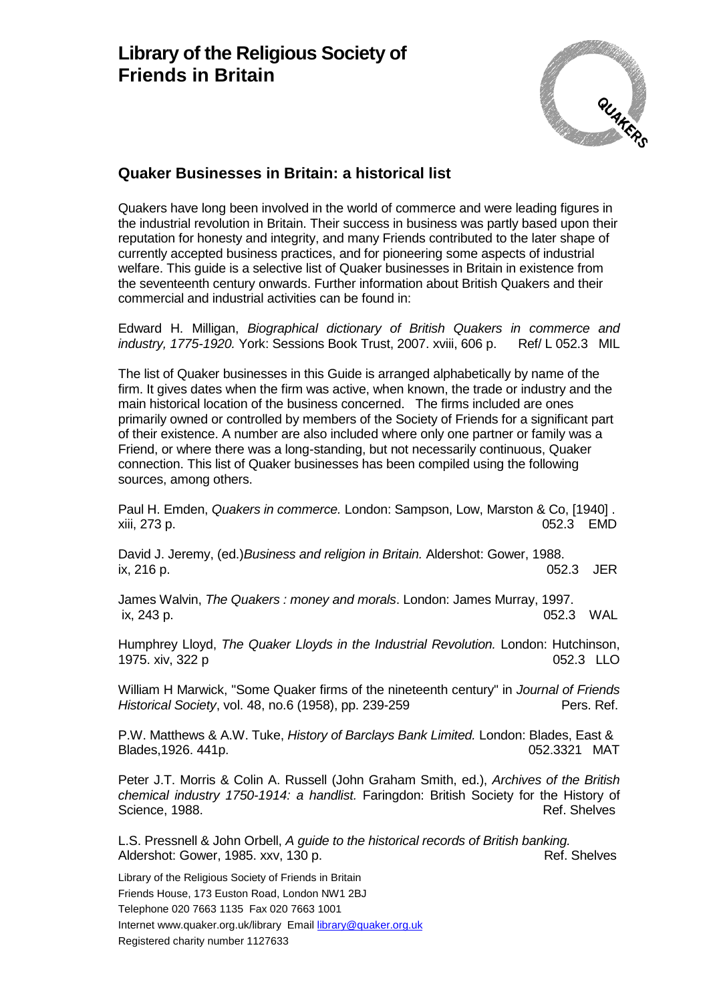

Quakers have long been involved in the world of commerce and were leading figures in the industrial revolution in Britain. Their success in business was partly based upon their reputation for honesty and integrity, and many Friends contributed to the later shape of currently accepted business practices, and for pioneering some aspects of industrial welfare. This guide is a selective list of Quaker businesses in Britain in existence from the seventeenth century onwards. Further information about British Quakers and their commercial and industrial activities can be found in:

Edward H. Milligan, *Biographical dictionary of British Quakers in commerce and industry, 1775-1920.* York: Sessions Book Trust, 2007. xviii, 606 p. Ref/ L 052.3 MIL

The list of Quaker businesses in this Guide is arranged alphabetically by name of the firm. It gives dates when the firm was active, when known, the trade or industry and the main historical location of the business concerned. The firms included are ones primarily owned or controlled by members of the Society of Friends for a significant part of their existence. A number are also included where only one partner or family was a Friend, or where there was a long-standing, but not necessarily continuous, Quaker connection. This list of Quaker businesses has been compiled using the following sources, among others.

Paul H. Emden, *Quakers in commerce.* London: Sampson, Low, Marston & Co, [1940] . xiii, 273 p. 052.3 EMD

David J. Jeremy, (ed.)*Business and religion in Britain.* Aldershot: Gower, 1988. 052.3 JER

James Walvin, *The Quakers : money and morals*. London: James Murray, 1997. ix, 243 p. 052.3 WAL

Humphrey Lloyd, *The Quaker Lloyds in the Industrial Revolution.* London: Hutchinson, 1975. xiv, 322 p 052.3 LLO

William H Marwick, "Some Quaker firms of the nineteenth century" in *Journal of Friends Historical Society*, vol. 48, no.6 (1958), pp. 239-259 **Pers. Ref.** Pers. Ref.

P.W. Matthews & A.W. Tuke, *History of Barclays Bank Limited.* London: Blades, East & Blades, 1926. 441p. 6. 2010. The state of the state of the state of the state of the 052.3321 MAT

Peter J.T. Morris & Colin A. Russell (John Graham Smith, ed.), *Archives of the British chemical industry 1750-1914: a handlist.* Faringdon: British Society for the History of Science, 1988. **Ref. Shelves** Science, 1988.

L.S. Pressnell & John Orbell, *A guide to the historical records of British banking.* Aldershot: Gower, 1985. xxv, 130 p. Ref. Shelves

Library of the Religious Society of Friends in Britain Friends House, 173 Euston Road, London NW1 2BJ Telephone 020 7663 1135 Fax 020 7663 1001 Internet www.quaker.org.uk/library Email [library@quaker.org.uk](mailto:library@quaker.org.uk) Registered charity number 1127633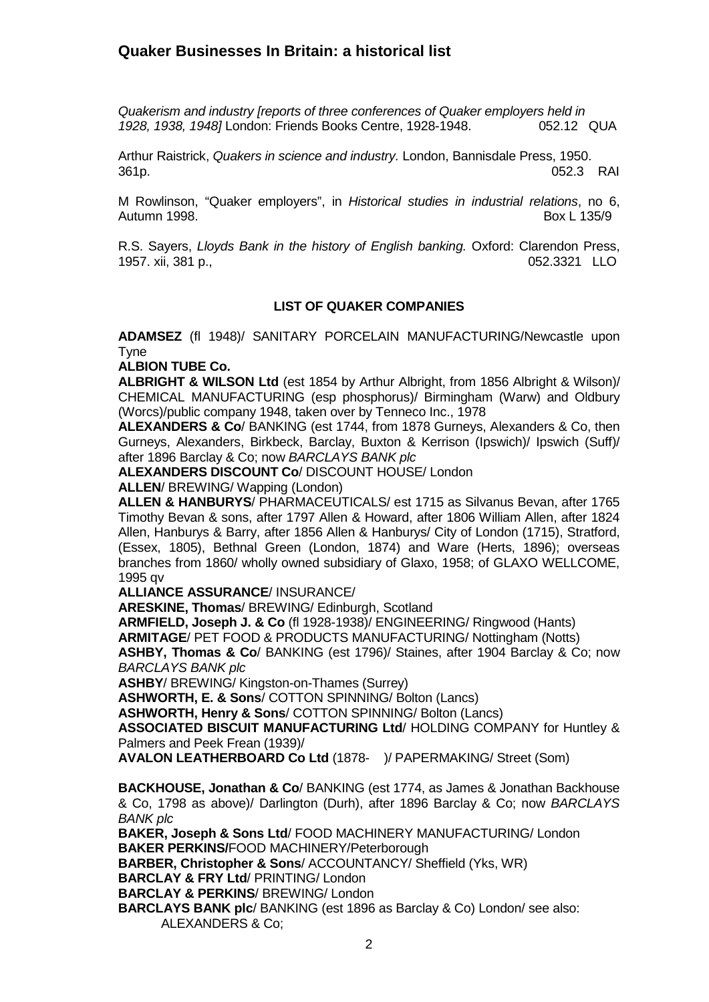*Quakerism and industry [reports of three conferences of Quaker employers held in 1928, 1938, 1948]* London: Friends Books Centre, 1928-1948.

Arthur Raistrick, *Quakers in science and industry.* London, Bannisdale Press, 1950. 361p. 052.3 RAI

M Rowlinson, "Quaker employers", in *Historical studies in industrial relations*, no 6, Autumn 1998. Box L 135/9

R.S. Sayers, *Lloyds Bank in the history of English banking.* Oxford: Clarendon Press, 1957. xii, 381 p.,052.3321 LLO

### **LIST OF QUAKER COMPANIES**

**ADAMSEZ** (fl 1948)/ SANITARY PORCELAIN MANUFACTURING/Newcastle upon Tyne

**ALBION TUBE Co.** 

**ALBRIGHT & WILSON Ltd** (est 1854 by Arthur Albright, from 1856 Albright & Wilson)/ CHEMICAL MANUFACTURING (esp phosphorus)/ Birmingham (Warw) and Oldbury (Worcs)/public company 1948, taken over by Tenneco Inc., 1978

**ALEXANDERS & Co**/ BANKING (est 1744, from 1878 Gurneys, Alexanders & Co, then Gurneys, Alexanders, Birkbeck, Barclay, Buxton & Kerrison (Ipswich)/ Ipswich (Suff)/ after 1896 Barclay & Co; now *BARCLAYS BANK plc*

**ALEXANDERS DISCOUNT Co**/ DISCOUNT HOUSE/ London

**ALLEN**/ BREWING/ Wapping (London)

**ALLEN & HANBURYS**/ PHARMACEUTICALS/ est 1715 as Silvanus Bevan, after 1765 Timothy Bevan & sons, after 1797 Allen & Howard, after 1806 William Allen, after 1824 Allen, Hanburys & Barry, after 1856 Allen & Hanburys/ City of London (1715), Stratford, (Essex, 1805), Bethnal Green (London, 1874) and Ware (Herts, 1896); overseas branches from 1860/ wholly owned subsidiary of Glaxo, 1958; of GLAXO WELLCOME, 1995 qv

**ALLIANCE ASSURANCE**/ INSURANCE/

**ARESKINE, Thomas**/ BREWING/ Edinburgh, Scotland

**ARMFIELD, Joseph J. & Co** (fl 1928-1938)/ ENGINEERING/ Ringwood (Hants)

**ARMITAGE**/ PET FOOD & PRODUCTS MANUFACTURING/ Nottingham (Notts)

**ASHBY, Thomas & Co**/ BANKING (est 1796)/ Staines, after 1904 Barclay & Co; now *BARCLAYS BANK plc*

**ASHBY**/ BREWING/ Kingston-on-Thames (Surrey)

**ASHWORTH, E. & Sons**/ COTTON SPINNING/ Bolton (Lancs)

**ASHWORTH, Henry & Sons**/ COTTON SPINNING/ Bolton (Lancs)

**ASSOCIATED BISCUIT MANUFACTURING Ltd**/ HOLDING COMPANY for Huntley & Palmers and Peek Frean (1939)/

**AVALON LEATHERBOARD Co Ltd** (1878- )/ PAPERMAKING/ Street (Som)

**BACKHOUSE, Jonathan & Co**/ BANKING (est 1774, as James & Jonathan Backhouse & Co, 1798 as above)/ Darlington (Durh), after 1896 Barclay & Co; now *BARCLAYS BANK plc*

**BAKER, Joseph & Sons Ltd**/ FOOD MACHINERY MANUFACTURING/ London **BAKER PERKINS/**FOOD MACHINERY/Peterborough

**BARBER, Christopher & Sons**/ ACCOUNTANCY/ Sheffield (Yks, WR)

**BARCLAY & FRY Ltd**/ PRINTING/ London

**BARCLAY & PERKINS**/ BREWING/ London

**BARCLAYS BANK plc**/ BANKING (est 1896 as Barclay & Co) London/ see also: ALEXANDERS & Co;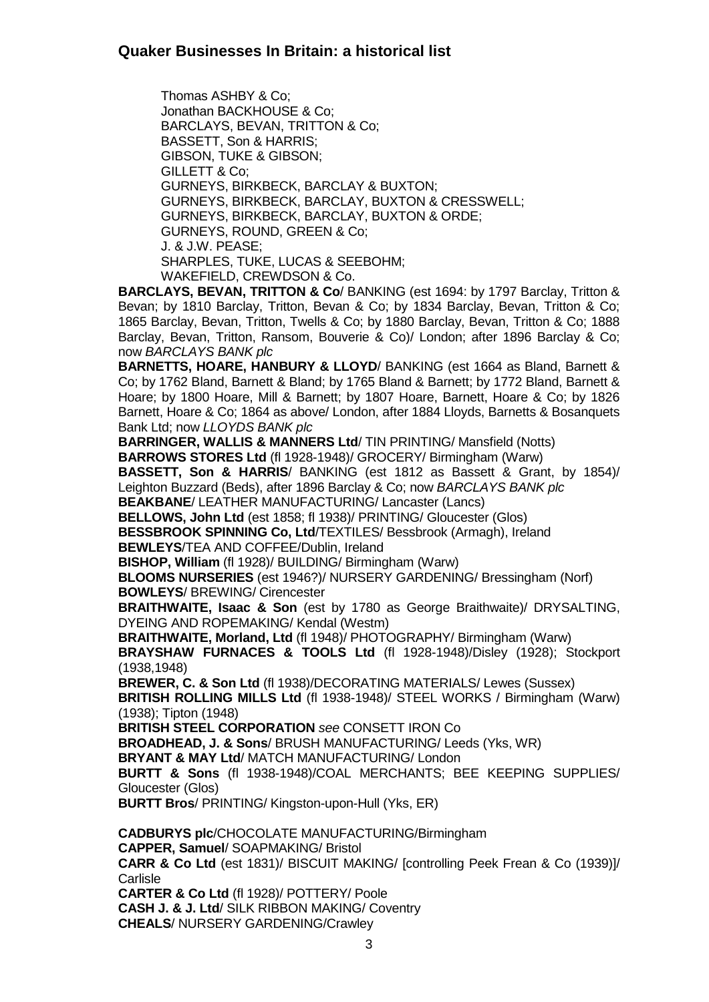Thomas ASHBY & Co; Jonathan BACKHOUSE & Co; BARCLAYS, BEVAN, TRITTON & Co; BASSETT, Son & HARRIS; GIBSON, TUKE & GIBSON; GILLETT & Co; GURNEYS, BIRKBECK, BARCLAY & BUXTON; GURNEYS, BIRKBECK, BARCLAY, BUXTON & CRESSWELL; GURNEYS, BIRKBECK, BARCLAY, BUXTON & ORDE; GURNEYS, ROUND, GREEN & Co; J. & J.W. PEASE; SHARPLES, TUKE, LUCAS & SEEBOHM; WAKEFIELD, CREWDSON & Co.

**BARCLAYS, BEVAN, TRITTON & Co**/ BANKING (est 1694: by 1797 Barclay, Tritton & Bevan; by 1810 Barclay, Tritton, Bevan & Co; by 1834 Barclay, Bevan, Tritton & Co; 1865 Barclay, Bevan, Tritton, Twells & Co; by 1880 Barclay, Bevan, Tritton & Co; 1888 Barclay, Bevan, Tritton, Ransom, Bouverie & Co)/ London; after 1896 Barclay & Co; now *BARCLAYS BANK plc*

**BARNETTS, HOARE, HANBURY & LLOYD**/ BANKING (est 1664 as Bland, Barnett & Co; by 1762 Bland, Barnett & Bland; by 1765 Bland & Barnett; by 1772 Bland, Barnett & Hoare; by 1800 Hoare, Mill & Barnett; by 1807 Hoare, Barnett, Hoare & Co; by 1826 Barnett, Hoare & Co; 1864 as above/ London, after 1884 Lloyds, Barnetts & Bosanquets Bank Ltd; now *LLOYDS BANK plc*

**BARRINGER, WALLIS & MANNERS Ltd**/ TIN PRINTING/ Mansfield (Notts) **BARROWS STORES Ltd** (fl 1928-1948)/ GROCERY/ Birmingham (Warw)

**BASSETT, Son & HARRIS**/ BANKING (est 1812 as Bassett & Grant, by 1854)/ Leighton Buzzard (Beds), after 1896 Barclay & Co; now *BARCLAYS BANK plc*

**BEAKBANE**/ LEATHER MANUFACTURING/ Lancaster (Lancs)

**BELLOWS, John Ltd** (est 1858; fl 1938)/ PRINTING/ Gloucester (Glos)

**BESSBROOK SPINNING Co, Ltd**/TEXTILES/ Bessbrook (Armagh), Ireland **BEWLEYS**/TEA AND COFFEE/Dublin, Ireland

**BISHOP, William** (fl 1928)/ BUILDING/ Birmingham (Warw)

**BLOOMS NURSERIES** (est 1946?)/ NURSERY GARDENING/ Bressingham (Norf) **BOWLEYS**/ BREWING/ Cirencester

**BRAITHWAITE, Isaac & Son** (est by 1780 as George Braithwaite)/ DRYSALTING, DYEING AND ROPEMAKING/ Kendal (Westm)

**BRAITHWAITE, Morland, Ltd** (fl 1948)/ PHOTOGRAPHY/ Birmingham (Warw) **BRAYSHAW FURNACES & TOOLS Ltd** (fl 1928-1948)/Disley (1928); Stockport (1938,1948)

**BREWER, C. & Son Ltd** (fl 1938)/DECORATING MATERIALS/ Lewes (Sussex) **BRITISH ROLLING MILLS Ltd** (fl 1938-1948)/ STEEL WORKS / Birmingham (Warw) (1938); Tipton (1948)

**BRITISH STEEL CORPORATION** *see* CONSETT IRON Co

**BROADHEAD, J. & Sons**/ BRUSH MANUFACTURING/ Leeds (Yks, WR)

**BRYANT & MAY Ltd**/ MATCH MANUFACTURING/ London

**BURTT & Sons** (fl 1938-1948)/COAL MERCHANTS; BEE KEEPING SUPPLIES/ Gloucester (Glos)

**BURTT Bros**/ PRINTING/ Kingston-upon-Hull (Yks, ER)

**CADBURYS plc**/CHOCOLATE MANUFACTURING/Birmingham **CAPPER, Samuel**/ SOAPMAKING/ Bristol **CARR & Co Ltd** (est 1831)/ BISCUIT MAKING/ [controlling Peek Frean & Co (1939)]/ **Carlisle CARTER & Co Ltd** (fl 1928)/ POTTERY/ Poole

**CASH J. & J. Ltd**/ SILK RIBBON MAKING/ Coventry **CHEALS**/ NURSERY GARDENING/Crawley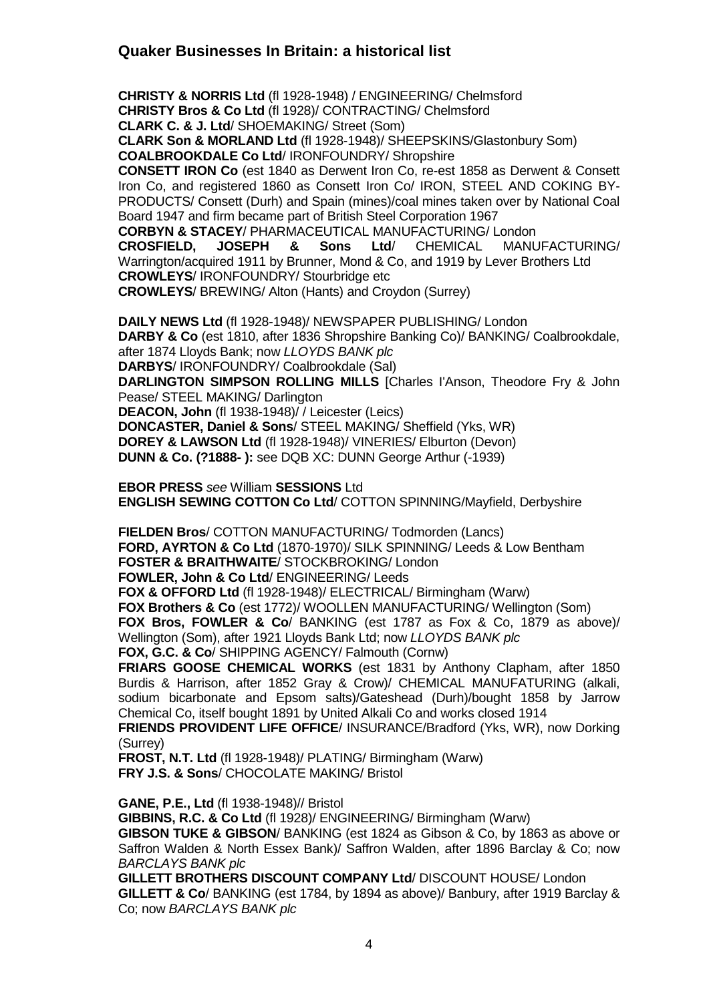**CHRISTY & NORRIS Ltd** (fl 1928-1948) / ENGINEERING/ Chelmsford **CHRISTY Bros & Co Ltd** (fl 1928)/ CONTRACTING/ Chelmsford **CLARK C. & J. Ltd**/ SHOEMAKING/ Street (Som)

**CLARK Son & MORLAND Ltd** (fl 1928-1948)/ SHEEPSKINS/Glastonbury Som) **COALBROOKDALE Co Ltd**/ IRONFOUNDRY/ Shropshire

**CONSETT IRON Co** (est 1840 as Derwent Iron Co, re-est 1858 as Derwent & Consett Iron Co, and registered 1860 as Consett Iron Co/ IRON, STEEL AND COKING BY-PRODUCTS/ Consett (Durh) and Spain (mines)/coal mines taken over by National Coal Board 1947 and firm became part of British Steel Corporation 1967

**CORBYN & STACEY**/ PHARMACEUTICAL MANUFACTURING/ London **CROSFIELD, JOSEPH & Sons Ltd**/ CHEMICAL MANUFACTURING/ Warrington/acquired 1911 by Brunner, Mond & Co, and 1919 by Lever Brothers Ltd **CROWLEYS**/ IRONFOUNDRY/ Stourbridge etc **CROWLEYS**/ BREWING/ Alton (Hants) and Croydon (Surrey)

**DAILY NEWS Ltd** (fl 1928-1948)/ NEWSPAPER PUBLISHING/ London

**DARBY & Co** (est 1810, after 1836 Shropshire Banking Co)/ BANKING/ Coalbrookdale, after 1874 Lloyds Bank; now *LLOYDS BANK plc* **DARBYS**/ IRONFOUNDRY/ Coalbrookdale (Sal)

**DARLINGTON SIMPSON ROLLING MILLS** [Charles I'Anson, Theodore Fry & John Pease/ STEEL MAKING/ Darlington

**DEACON, John** (fl 1938-1948)/ / Leicester (Leics)

**DONCASTER, Daniel & Sons**/ STEEL MAKING/ Sheffield (Yks, WR) **DOREY & LAWSON Ltd** (fl 1928-1948)/ VINERIES/ Elburton (Devon) **DUNN & Co. (?1888- ):** see DQB XC: DUNN George Arthur (-1939)

**EBOR PRESS** *see* William **SESSIONS** Ltd **ENGLISH SEWING COTTON Co Ltd**/ COTTON SPINNING/Mayfield, Derbyshire

**FIELDEN Bros**/ COTTON MANUFACTURING/ Todmorden (Lancs) **FORD, AYRTON & Co Ltd** (1870-1970)/ SILK SPINNING/ Leeds & Low Bentham **FOSTER & BRAITHWAITE**/ STOCKBROKING/ London **FOWLER, John & Co Ltd**/ ENGINEERING/ Leeds **FOX & OFFORD Ltd** (fl 1928-1948)/ ELECTRICAL/ Birmingham (Warw)

**FOX Brothers & Co** (est 1772)/ WOOLLEN MANUFACTURING/ Wellington (Som) **FOX Bros, FOWLER & Co**/ BANKING (est 1787 as Fox & Co, 1879 as above)/ Wellington (Som), after 1921 Lloyds Bank Ltd; now *LLOYDS BANK plc*

**FOX, G.C. & Co**/ SHIPPING AGENCY/ Falmouth (Cornw)

**FRIARS GOOSE CHEMICAL WORKS** (est 1831 by Anthony Clapham, after 1850 Burdis & Harrison, after 1852 Gray & Crow)/ CHEMICAL MANUFATURING (alkali, sodium bicarbonate and Epsom salts)/Gateshead (Durh)/bought 1858 by Jarrow Chemical Co, itself bought 1891 by United Alkali Co and works closed 1914

**FRIENDS PROVIDENT LIFE OFFICE**/ INSURANCE/Bradford (Yks, WR), now Dorking (Surrey)

**FROST, N.T. Ltd** (fl 1928-1948)/ PLATING/ Birmingham (Warw) **FRY J.S. & Sons**/ CHOCOLATE MAKING/ Bristol

**GANE, P.E., Ltd** (fl 1938-1948)// Bristol

**GIBBINS, R.C. & Co Ltd** (fl 1928)/ ENGINEERING/ Birmingham (Warw) **GIBSON TUKE & GIBSON**/ BANKING (est 1824 as Gibson & Co, by 1863 as above or Saffron Walden & North Essex Bank)/ Saffron Walden, after 1896 Barclay & Co; now *BARCLAYS BANK plc*

**GILLETT BROTHERS DISCOUNT COMPANY Ltd**/ DISCOUNT HOUSE/ London **GILLETT & Co**/ BANKING (est 1784, by 1894 as above)/ Banbury, after 1919 Barclay & Co; now *BARCLAYS BANK plc*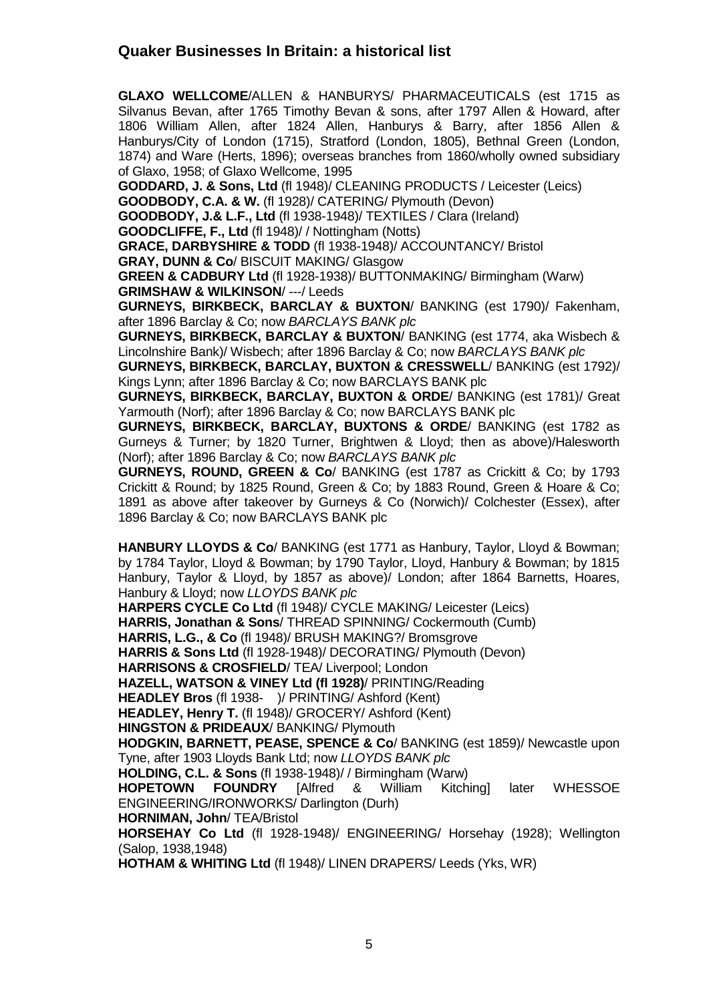**GLAXO WELLCOME**/ALLEN & HANBURYS/ PHARMACEUTICALS (est 1715 as Silvanus Bevan, after 1765 Timothy Bevan & sons, after 1797 Allen & Howard, after 1806 William Allen, after 1824 Allen, Hanburys & Barry, after 1856 Allen & Hanburys/City of London (1715), Stratford (London, 1805), Bethnal Green (London, 1874) and Ware (Herts, 1896); overseas branches from 1860/wholly owned subsidiary of Glaxo, 1958; of Glaxo Wellcome, 1995

**GODDARD, J. & Sons, Ltd** (fl 1948)/ CLEANING PRODUCTS / Leicester (Leics)

**GOODBODY, C.A. & W.** (fl 1928)/ CATERING/ Plymouth (Devon)

**GOODBODY, J.& L.F., Ltd** (fl 1938-1948)/ TEXTILES / Clara (Ireland)

**GOODCLIFFE, F., Ltd** (fl 1948)/ / Nottingham (Notts)

**GRACE, DARBYSHIRE & TODD** (fl 1938-1948)/ ACCOUNTANCY/ Bristol

**GRAY, DUNN & Co**/ BISCUIT MAKING/ Glasgow

**GREEN & CADBURY Ltd** (fl 1928-1938)/ BUTTONMAKING/ Birmingham (Warw) **GRIMSHAW & WILKINSON**/ ---/ Leeds

**GURNEYS, BIRKBECK, BARCLAY & BUXTON**/ BANKING (est 1790)/ Fakenham, after 1896 Barclay & Co; now *BARCLAYS BANK plc*

**GURNEYS, BIRKBECK, BARCLAY & BUXTON**/ BANKING (est 1774, aka Wisbech & Lincolnshire Bank)/ Wisbech; after 1896 Barclay & Co; now *BARCLAYS BANK plc*

**GURNEYS, BIRKBECK, BARCLAY, BUXTON & CRESSWELL**/ BANKING (est 1792)/ Kings Lynn; after 1896 Barclay & Co; now BARCLAYS BANK plc

**GURNEYS, BIRKBECK, BARCLAY, BUXTON & ORDE**/ BANKING (est 1781)/ Great Yarmouth (Norf); after 1896 Barclay & Co; now BARCLAYS BANK plc

**GURNEYS, BIRKBECK, BARCLAY, BUXTONS & ORDE**/ BANKING (est 1782 as Gurneys & Turner; by 1820 Turner, Brightwen & Lloyd; then as above)/Halesworth (Norf); after 1896 Barclay & Co; now *BARCLAYS BANK plc*

**GURNEYS, ROUND, GREEN & Co**/ BANKING (est 1787 as Crickitt & Co; by 1793 Crickitt & Round; by 1825 Round, Green & Co; by 1883 Round, Green & Hoare & Co; 1891 as above after takeover by Gurneys & Co (Norwich)/ Colchester (Essex), after 1896 Barclay & Co; now BARCLAYS BANK plc

**HANBURY LLOYDS & Co**/ BANKING (est 1771 as Hanbury, Taylor, Lloyd & Bowman; by 1784 Taylor, Lloyd & Bowman; by 1790 Taylor, Lloyd, Hanbury & Bowman; by 1815 Hanbury, Taylor & Lloyd, by 1857 as above)/ London; after 1864 Barnetts, Hoares, Hanbury & Lloyd; now *LLOYDS BANK plc*

**HARPERS CYCLE Co Ltd** (fl 1948)/ CYCLE MAKING/ Leicester (Leics) **HARRIS, Jonathan & Sons**/ THREAD SPINNING/ Cockermouth (Cumb) **HARRIS, L.G., & Co** (fl 1948)/ BRUSH MAKING?/ Bromsgrove **HARRIS & Sons Ltd** (fl 1928-1948)/ DECORATING/ Plymouth (Devon) **HARRISONS & CROSFIELD**/ TEA/ Liverpool; London **HAZELL, WATSON & VINEY Ltd (fl 1928)**/ PRINTING/Reading **HEADLEY Bros** (fl 1938- )/ PRINTING/ Ashford (Kent)

**HEADLEY, Henry T.** (fl 1948)/ GROCERY/ Ashford (Kent)

**HINGSTON & PRIDEAUX**/ BANKING/ Plymouth

**HODGKIN, BARNETT, PEASE, SPENCE & Co**/ BANKING (est 1859)/ Newcastle upon Tyne, after 1903 Lloyds Bank Ltd; now *LLOYDS BANK plc*

**HOLDING, C.L. & Sons** (fl 1938-1948)/ / Birmingham (Warw) **HOPETOWN FOUNDRY** [Alfred & William Kitching] later WHESSOE ENGINEERING/IRONWORKS/ Darlington (Durh)

**HORNIMAN, John**/ TEA/Bristol

**HORSEHAY Co Ltd** (fl 1928-1948)/ ENGINEERING/ Horsehay (1928); Wellington (Salop, 1938,1948)

**HOTHAM & WHITING Ltd** (fl 1948)/ LINEN DRAPERS/ Leeds (Yks, WR)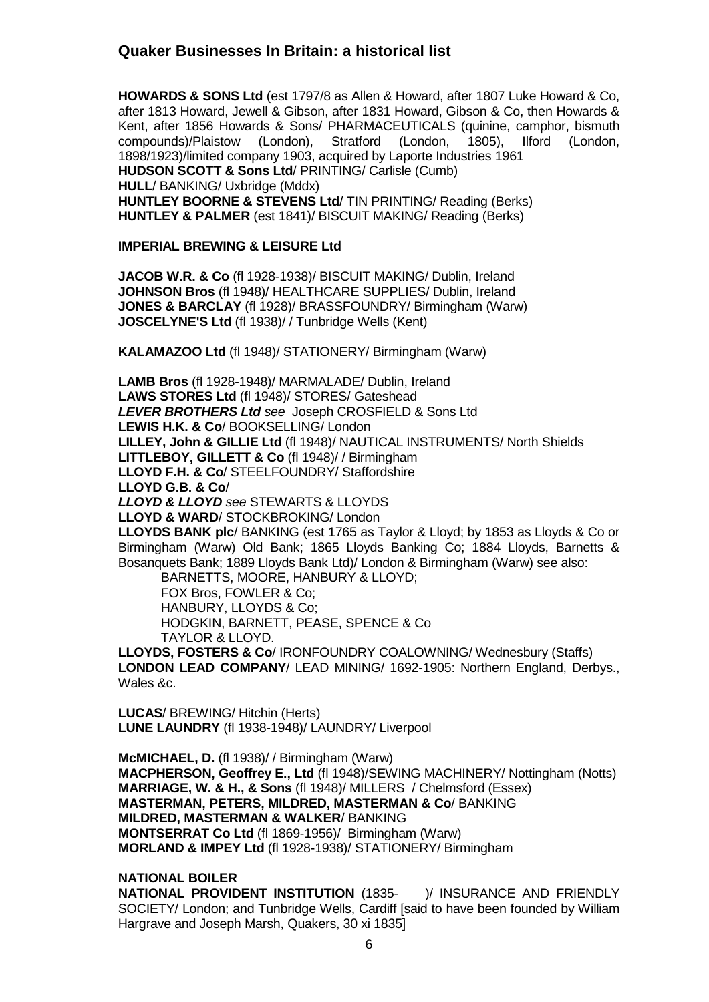**HOWARDS & SONS Ltd** (est 1797/8 as Allen & Howard, after 1807 Luke Howard & Co, after 1813 Howard, Jewell & Gibson, after 1831 Howard, Gibson & Co, then Howards & Kent, after 1856 Howards & Sons/ PHARMACEUTICALS (quinine, camphor, bismuth compounds)/Plaistow (London), Stratford (London, 1805), Ilford (London. compounds)/Plaistow (London), Stratford (London, 1805), Ilford (London, 1898/1923)/limited company 1903, acquired by Laporte Industries 1961 **HUDSON SCOTT & Sons Ltd**/ PRINTING/ Carlisle (Cumb) **HULL**/ BANKING/ Uxbridge (Mddx) **HUNTLEY BOORNE & STEVENS Ltd**/ TIN PRINTING/ Reading (Berks)

**HUNTLEY & PALMER** (est 1841)/ BISCUIT MAKING/ Reading (Berks)

**IMPERIAL BREWING & LEISURE Ltd**

**JACOB W.R. & Co** (fl 1928-1938)/ BISCUIT MAKING/ Dublin, Ireland **JOHNSON Bros** (fl 1948)/ HEALTHCARE SUPPLIES/ Dublin, Ireland **JONES & BARCLAY** (fl 1928)/ BRASSFOUNDRY/ Birmingham (Warw) **JOSCELYNE'S Ltd** (fl 1938)/ / Tunbridge Wells (Kent)

**KALAMAZOO Ltd** (fl 1948)/ STATIONERY/ Birmingham (Warw)

**LAMB Bros** (fl 1928-1948)/ MARMALADE/ Dublin, Ireland **LAWS STORES Ltd** (fl 1948)/ STORES/ Gateshead *LEVER BROTHERS Ltd see* Joseph CROSFIELD & Sons Ltd **LEWIS H.K. & Co**/ BOOKSELLING/ London **LILLEY, John & GILLIE Ltd** (fl 1948)/ NAUTICAL INSTRUMENTS/ North Shields **LITTLEBOY, GILLETT & Co** (fl 1948)/ / Birmingham **LLOYD F.H. & Co**/ STEELFOUNDRY/ Staffordshire **LLOYD G.B. & Co**/ *LLOYD & LLOYD see* STEWARTS & LLOYDS **LLOYD & WARD**/ STOCKBROKING/ London **LLOYDS BANK plc**/ BANKING (est 1765 as Taylor & Lloyd; by 1853 as Lloyds & Co or Birmingham (Warw) Old Bank; 1865 Lloyds Banking Co; 1884 Lloyds, Barnetts &

Bosanquets Bank; 1889 Lloyds Bank Ltd)/ London & Birmingham (Warw) see also: BARNETTS, MOORE, HANBURY & LLOYD;

FOX Bros, FOWLER & Co; HANBURY, LLOYDS & Co; HODGKIN, BARNETT, PEASE, SPENCE & Co TAYLOR & LLOYD.

**LLOYDS, FOSTERS & Co**/ IRONFOUNDRY COALOWNING/ Wednesbury (Staffs) **LONDON LEAD COMPANY**/ LEAD MINING/ 1692-1905: Northern England, Derbys., Wales &c.

**LUCAS**/ BREWING/ Hitchin (Herts) **LUNE LAUNDRY** (fl 1938-1948)/ LAUNDRY/ Liverpool

**McMICHAEL, D.** (fl 1938)/ / Birmingham (Warw) **MACPHERSON, Geoffrey E., Ltd** (fl 1948)/SEWING MACHINERY/ Nottingham (Notts) **MARRIAGE, W. & H., & Sons** (fl 1948)/ MILLERS / Chelmsford (Essex) **MASTERMAN, PETERS, MILDRED, MASTERMAN & Co**/ BANKING **MILDRED, MASTERMAN & WALKER**/ BANKING **MONTSERRAT Co Ltd** (fl 1869-1956)/ Birmingham (Warw) **MORLAND & IMPEY Ltd** (fl 1928-1938)/ STATIONERY/ Birmingham

#### **NATIONAL BOILER**

**NATIONAL PROVIDENT INSTITUTION** (1835- )/ INSURANCE AND FRIENDLY SOCIETY/ London; and Tunbridge Wells, Cardiff [said to have been founded by William Hargrave and Joseph Marsh, Quakers, 30 xi 1835]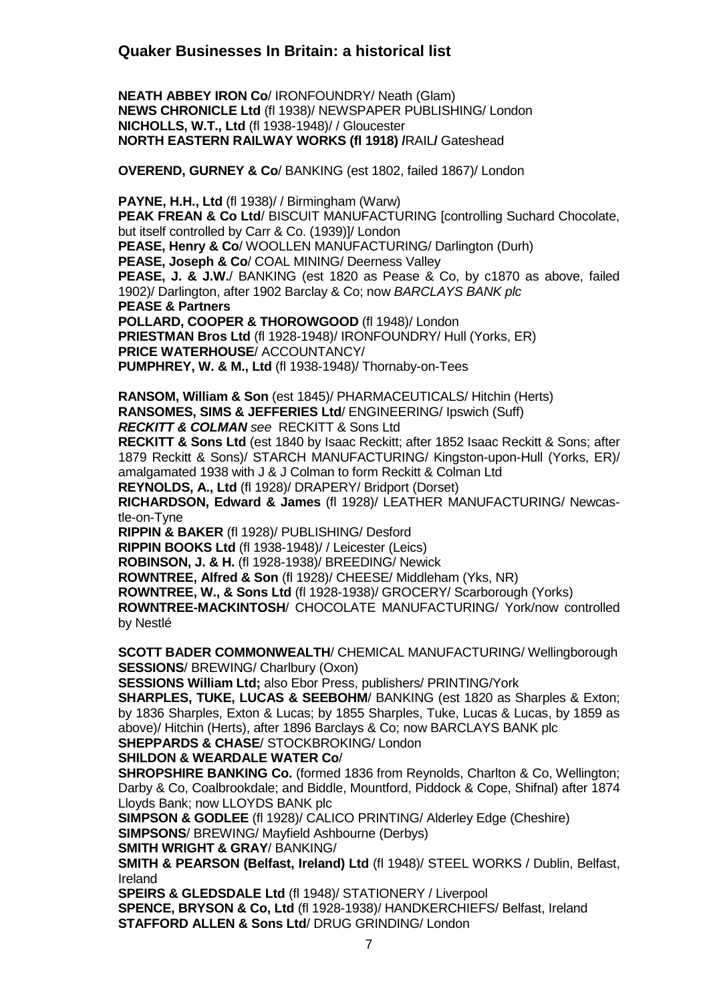**NEATH ABBEY IRON Co**/ IRONFOUNDRY/ Neath (Glam) **NEWS CHRONICLE Ltd** (fl 1938)/ NEWSPAPER PUBLISHING/ London **NICHOLLS, W.T., Ltd** (fl 1938-1948)/ / Gloucester **NORTH EASTERN RAILWAY WORKS (fl 1918) /**RAIL**/** Gateshead

**OVEREND, GURNEY & Co**/ BANKING (est 1802, failed 1867)/ London

**PAYNE, H.H., Ltd** (fl 1938)/ / Birmingham (Warw) **PEAK FREAN & Co Ltd**/ BISCUIT MANUFACTURING [controlling Suchard Chocolate, but itself controlled by Carr & Co. (1939)]/ London **PEASE, Henry & Co**/ WOOLLEN MANUFACTURING/ Darlington (Durh) **PEASE, Joseph & Co**/ COAL MINING/ Deerness Valley **PEASE, J. & J.W.**/ BANKING (est 1820 as Pease & Co, by c1870 as above, failed 1902)/ Darlington, after 1902 Barclay & Co; now *BARCLAYS BANK plc* **PEASE & Partners POLLARD, COOPER & THOROWGOOD** (fl 1948)/ London **PRIESTMAN Bros Ltd** (fl 1928-1948)/ IRONFOUNDRY/ Hull (Yorks, ER) **PRICE WATERHOUSE**/ ACCOUNTANCY/ **PUMPHREY, W. & M., Ltd** (fl 1938-1948)/ Thornaby-on-Tees

**RANSOM, William & Son** (est 1845)/ PHARMACEUTICALS/ Hitchin (Herts) **RANSOMES, SIMS & JEFFERIES Ltd**/ ENGINEERING/ Ipswich (Suff) *RECKITT & COLMAN see* RECKITT & Sons Ltd

**RECKITT & Sons Ltd** (est 1840 by Isaac Reckitt; after 1852 Isaac Reckitt & Sons; after 1879 Reckitt & Sons)/ STARCH MANUFACTURING/ Kingston-upon-Hull (Yorks, ER)/ amalgamated 1938 with J & J Colman to form Reckitt & Colman Ltd

**REYNOLDS, A., Ltd** (fl 1928)/ DRAPERY/ Bridport (Dorset)

**RICHARDSON, Edward & James** (fl 1928)/ LEATHER MANUFACTURING/ Newcastle-on-Tyne

**RIPPIN & BAKER** (fl 1928)/ PUBLISHING/ Desford

**RIPPIN BOOKS Ltd** (fl 1938-1948)/ / Leicester (Leics)

**ROBINSON, J. & H.** (fl 1928-1938)/ BREEDING/ Newick

**ROWNTREE, Alfred & Son** (fl 1928)/ CHEESE/ Middleham (Yks, NR)

**ROWNTREE, W., & Sons Ltd** (fl 1928-1938)/ GROCERY/ Scarborough (Yorks)

**ROWNTREE-MACKINTOSH**/ CHOCOLATE MANUFACTURING/ York/now controlled by Nestlé

**SCOTT BADER COMMONWEALTH**/ CHEMICAL MANUFACTURING/ Wellingborough **SESSIONS**/ BREWING/ Charlbury (Oxon)

**SESSIONS William Ltd;** also Ebor Press, publishers/ PRINTING/York

**SHARPLES, TUKE, LUCAS & SEEBOHM**/ BANKING (est 1820 as Sharples & Exton; by 1836 Sharples, Exton & Lucas; by 1855 Sharples, Tuke, Lucas & Lucas, by 1859 as above)/ Hitchin (Herts), after 1896 Barclays & Co; now BARCLAYS BANK plc **SHEPPARDS & CHASE**/ STOCKBROKING/ London

#### **SHILDON & WEARDALE WATER Co**/

**SHROPSHIRE BANKING Co.** (formed 1836 from Reynolds, Charlton & Co, Wellington; Darby & Co, Coalbrookdale; and Biddle, Mountford, Piddock & Cope, Shifnal) after 1874 Lloyds Bank; now LLOYDS BANK plc

**SIMPSON & GODLEE** (fl 1928)/ CALICO PRINTING/ Alderley Edge (Cheshire) **SIMPSONS**/ BREWING/ Mayfield Ashbourne (Derbys)

**SMITH WRIGHT & GRAY**/ BANKING/

**SMITH & PEARSON (Belfast, Ireland) Ltd** (fl 1948)/ STEEL WORKS / Dublin, Belfast, Ireland

**SPEIRS & GLEDSDALE Ltd** (fl 1948)/ STATIONERY / Liverpool **SPENCE, BRYSON & Co, Ltd** (fl 1928-1938)/ HANDKERCHIEFS/ Belfast, Ireland **STAFFORD ALLEN & Sons Ltd**/ DRUG GRINDING/ London